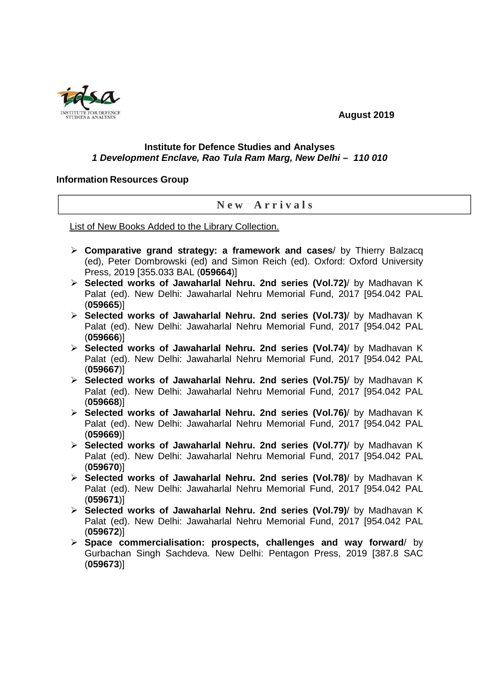## **August 2019**

## **Institute for Defence Studies and Analyses 1 Development Enclave, Rao Tula Ram Marg, New Delhi – 110 010**

## **Information Resources Group**

## **N e w A r r i v a l s**

List of New Books Added to the Library Collection.

- **Comparative grand strategy: a framework and cases**/ by Thierry Balzacq (ed), Peter Dombrowski (ed) and Simon Reich (ed). Oxford: Oxford University Press, 2019 [355.033 BAL (**059664**)]
- **Selected works of Jawaharlal Nehru. 2nd series (Vol.72)**/ by Madhavan K Palat (ed). New Delhi: Jawaharlal Nehru Memorial Fund, 2017 [954.042 PAL (**059665**)]
- **Selected works of Jawaharlal Nehru. 2nd series (Vol.73)**/ by Madhavan K Palat (ed). New Delhi: Jawaharlal Nehru Memorial Fund, 2017 [954.042 PAL (**059666**)]
- **Selected works of Jawaharlal Nehru. 2nd series (Vol.74)**/ by Madhavan K Palat (ed). New Delhi: Jawaharlal Nehru Memorial Fund, 2017 [954.042 PAL (**059667**)]
- **Selected works of Jawaharlal Nehru. 2nd series (Vol.75)**/ by Madhavan K Palat (ed). New Delhi: Jawaharlal Nehru Memorial Fund, 2017 [954.042 PAL (**059668**)]
- **Selected works of Jawaharlal Nehru. 2nd series (Vol.76)**/ by Madhavan K Palat (ed). New Delhi: Jawaharlal Nehru Memorial Fund, 2017 [954.042 PAL (**059669**)]
- **Selected works of Jawaharlal Nehru. 2nd series (Vol.77)**/ by Madhavan K Palat (ed). New Delhi: Jawaharlal Nehru Memorial Fund, 2017 [954.042 PAL (**059670**)]
- **Selected works of Jawaharlal Nehru. 2nd series (Vol.78)**/ by Madhavan K Palat (ed). New Delhi: Jawaharlal Nehru Memorial Fund, 2017 [954.042 PAL (**059671**)]
- **Selected works of Jawaharlal Nehru. 2nd series (Vol.79)**/ by Madhavan K Palat (ed). New Delhi: Jawaharlal Nehru Memorial Fund, 2017 [954.042 PAL (**059672**)]
- **Space commercialisation: prospects, challenges and way forward**/ by Gurbachan Singh Sachdeva. New Delhi: Pentagon Press, 2019 [387.8 SAC (**059673**)]